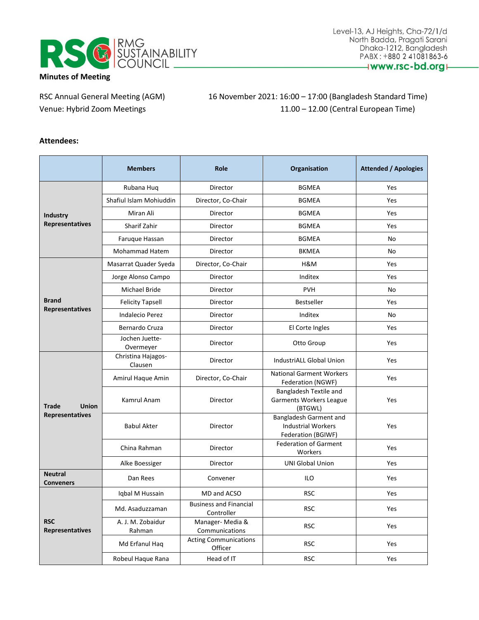

RSC Annual General Meeting (AGM) 16 November 2021: 16:00 - 17:00 (Bangladesh Standard Time) Venue: Hybrid Zoom Meetings 11.00 – 12.00 (Central European Time)

## **Attendees:**

|                                    | <b>Members</b>                | <b>Role</b>                                 | Organisation                                                              | <b>Attended / Apologies</b> |
|------------------------------------|-------------------------------|---------------------------------------------|---------------------------------------------------------------------------|-----------------------------|
|                                    | Rubana Hug                    | Director                                    | <b>BGMEA</b>                                                              | Yes                         |
| <b>Industry</b>                    | Shafiul Islam Mohiuddin       | Director, Co-Chair                          | <b>BGMEA</b>                                                              | Yes                         |
|                                    | Miran Ali                     | Director                                    | <b>BGMEA</b>                                                              | Yes                         |
| Representatives                    | Sharif Zahir                  | Director                                    | <b>BGMEA</b>                                                              | Yes                         |
|                                    | Faruque Hassan                | Director                                    | <b>BGMEA</b>                                                              | No                          |
|                                    | Mohammad Hatem                | Director                                    | <b>BKMEA</b>                                                              | No                          |
|                                    | Masarrat Quader Syeda         | Director, Co-Chair                          | H&M                                                                       | Yes                         |
|                                    | Jorge Alonso Campo            | Director                                    | Inditex                                                                   | Yes                         |
|                                    | Michael Bride                 | Director                                    | <b>PVH</b>                                                                | No                          |
| <b>Brand</b>                       | <b>Felicity Tapsell</b>       | Director                                    | Bestseller                                                                | Yes                         |
| <b>Representatives</b>             | <b>Indalecio Perez</b>        | Director                                    | Inditex                                                                   | No                          |
|                                    | Bernardo Cruza                | Director                                    | El Corte Ingles                                                           | Yes                         |
|                                    | Jochen Juette-<br>Overmeyer   | Director                                    | Otto Group                                                                | Yes                         |
|                                    | Christina Hajagos-<br>Clausen | Director                                    | <b>IndustriALL Global Union</b>                                           | Yes                         |
|                                    | Amirul Haque Amin             | Director, Co-Chair                          | <b>National Garment Workers</b><br>Federation (NGWF)                      | Yes                         |
| <b>Union</b><br><b>Trade</b>       | Kamrul Anam                   | Director                                    | Bangladesh Textile and<br><b>Garments Workers League</b><br>(BTGWL)       | Yes                         |
| Representatives                    | <b>Babul Akter</b>            | Director                                    | Bangladesh Garment and<br><b>Industrial Workers</b><br>Federation (BGIWF) | Yes                         |
|                                    | China Rahman                  | Director                                    | <b>Federation of Garment</b><br>Workers                                   | Yes                         |
|                                    | Alke Boessiger                | Director                                    | <b>UNI Global Union</b>                                                   | Yes                         |
| <b>Neutral</b><br><b>Conveners</b> | Dan Rees                      | Convener                                    | ILO                                                                       | Yes                         |
|                                    | Iqbal M Hussain               | MD and ACSO                                 | <b>RSC</b>                                                                | Yes                         |
|                                    | Md. Asaduzzaman               | <b>Business and Financial</b><br>Controller | <b>RSC</b>                                                                | Yes                         |
| <b>RSC</b><br>Representatives      | A. J. M. Zobaidur<br>Rahman   | Manager-Media &<br>Communications           | <b>RSC</b>                                                                | Yes                         |
|                                    | Md Erfanul Haq                | <b>Acting Communications</b><br>Officer     | <b>RSC</b>                                                                | Yes                         |
|                                    | Robeul Haque Rana             | Head of IT                                  | <b>RSC</b>                                                                | Yes                         |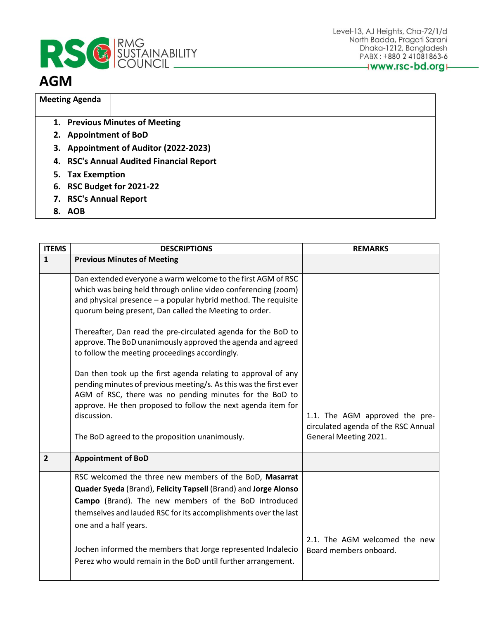

## **AGM**

## **Meeting Agenda**

- **1. Previous Minutes of Meeting**
- **2. Appointment of BoD**
- **3. Appointment of Auditor (2022-2023)**
- **4. RSC's Annual Audited Financial Report**
- **5. Tax Exemption**
- **6. RSC Budget for 2021-22**
- **7. RSC's Annual Report**
- **8. AOB**

| <b>ITEMS</b>   | <b>DESCRIPTIONS</b>                                                                                                                                                                                                                                           | <b>REMARKS</b>                                                                                 |
|----------------|---------------------------------------------------------------------------------------------------------------------------------------------------------------------------------------------------------------------------------------------------------------|------------------------------------------------------------------------------------------------|
| $\mathbf{1}$   | <b>Previous Minutes of Meeting</b>                                                                                                                                                                                                                            |                                                                                                |
|                | Dan extended everyone a warm welcome to the first AGM of RSC<br>which was being held through online video conferencing (zoom)<br>and physical presence $-$ a popular hybrid method. The requisite<br>quorum being present, Dan called the Meeting to order.   |                                                                                                |
|                | Thereafter, Dan read the pre-circulated agenda for the BoD to<br>approve. The BoD unanimously approved the agenda and agreed<br>to follow the meeting proceedings accordingly.                                                                                |                                                                                                |
|                | Dan then took up the first agenda relating to approval of any<br>pending minutes of previous meeting/s. As this was the first ever<br>AGM of RSC, there was no pending minutes for the BoD to<br>approve. He then proposed to follow the next agenda item for |                                                                                                |
|                | discussion.<br>The BoD agreed to the proposition unanimously.                                                                                                                                                                                                 | 1.1. The AGM approved the pre-<br>circulated agenda of the RSC Annual<br>General Meeting 2021. |
| $\overline{2}$ | <b>Appointment of BoD</b>                                                                                                                                                                                                                                     |                                                                                                |
|                | RSC welcomed the three new members of the BoD, Masarrat                                                                                                                                                                                                       |                                                                                                |
|                | Quader Syeda (Brand), Felicity Tapsell (Brand) and Jorge Alonso                                                                                                                                                                                               |                                                                                                |
|                | Campo (Brand). The new members of the BoD introduced                                                                                                                                                                                                          |                                                                                                |
|                | themselves and lauded RSC for its accomplishments over the last<br>one and a half years.                                                                                                                                                                      |                                                                                                |
|                | Jochen informed the members that Jorge represented Indalecio<br>Perez who would remain in the BoD until further arrangement.                                                                                                                                  | 2.1. The AGM welcomed the new<br>Board members onboard.                                        |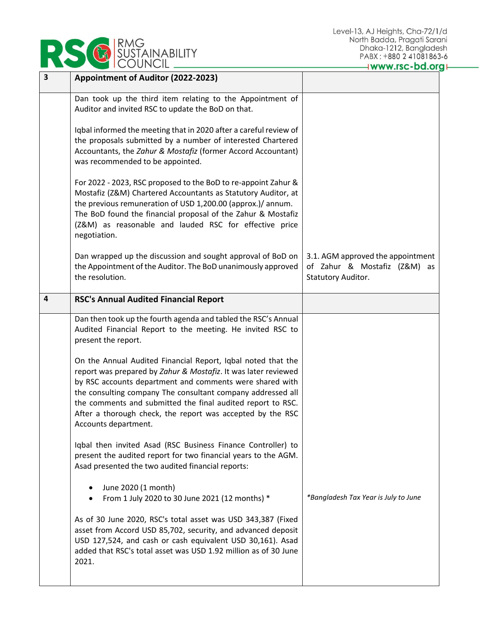| <b>IRMG</b><br>SUSTAINABILITY<br>COUNCIL |  |
|------------------------------------------|--|
|------------------------------------------|--|

| $\overline{\mathbf{3}}$ | Appointment of Auditor (2022-2023)                                                                                                                                                                                                                                                                                                                                                                             |                                                                                         |
|-------------------------|----------------------------------------------------------------------------------------------------------------------------------------------------------------------------------------------------------------------------------------------------------------------------------------------------------------------------------------------------------------------------------------------------------------|-----------------------------------------------------------------------------------------|
|                         | Dan took up the third item relating to the Appointment of<br>Auditor and invited RSC to update the BoD on that.                                                                                                                                                                                                                                                                                                |                                                                                         |
|                         | Iqbal informed the meeting that in 2020 after a careful review of<br>the proposals submitted by a number of interested Chartered<br>Accountants, the Zahur & Mostafiz (former Accord Accountant)<br>was recommended to be appointed.                                                                                                                                                                           |                                                                                         |
|                         | For 2022 - 2023, RSC proposed to the BoD to re-appoint Zahur &<br>Mostafiz (Z&M) Chartered Accountants as Statutory Auditor, at<br>the previous remuneration of USD 1,200.00 (approx.)/ annum.<br>The BoD found the financial proposal of the Zahur & Mostafiz<br>(Z&M) as reasonable and lauded RSC for effective price<br>negotiation.                                                                       |                                                                                         |
|                         | Dan wrapped up the discussion and sought approval of BoD on<br>the Appointment of the Auditor. The BoD unanimously approved<br>the resolution.                                                                                                                                                                                                                                                                 | 3.1. AGM approved the appointment<br>of Zahur & Mostafiz (Z&M) as<br>Statutory Auditor. |
| $\overline{a}$          | <b>RSC's Annual Audited Financial Report</b>                                                                                                                                                                                                                                                                                                                                                                   |                                                                                         |
|                         | Dan then took up the fourth agenda and tabled the RSC's Annual<br>Audited Financial Report to the meeting. He invited RSC to<br>present the report.                                                                                                                                                                                                                                                            |                                                                                         |
|                         | On the Annual Audited Financial Report, Iqbal noted that the<br>report was prepared by Zahur & Mostafiz. It was later reviewed<br>by RSC accounts department and comments were shared with<br>the consulting company The consultant company addressed all<br>the comments and submitted the final audited report to RSC.<br>After a thorough check, the report was accepted by the RSC<br>Accounts department. |                                                                                         |
|                         | Iqbal then invited Asad (RSC Business Finance Controller) to<br>present the audited report for two financial years to the AGM.<br>Asad presented the two audited financial reports:                                                                                                                                                                                                                            |                                                                                         |
|                         | June 2020 (1 month)<br>From 1 July 2020 to 30 June 2021 (12 months) *<br>$\bullet$                                                                                                                                                                                                                                                                                                                             | *Bangladesh Tax Year is July to June                                                    |
|                         | As of 30 June 2020, RSC's total asset was USD 343,387 (Fixed<br>asset from Accord USD 85,702, security, and advanced deposit<br>USD 127,524, and cash or cash equivalent USD 30,161). Asad                                                                                                                                                                                                                     |                                                                                         |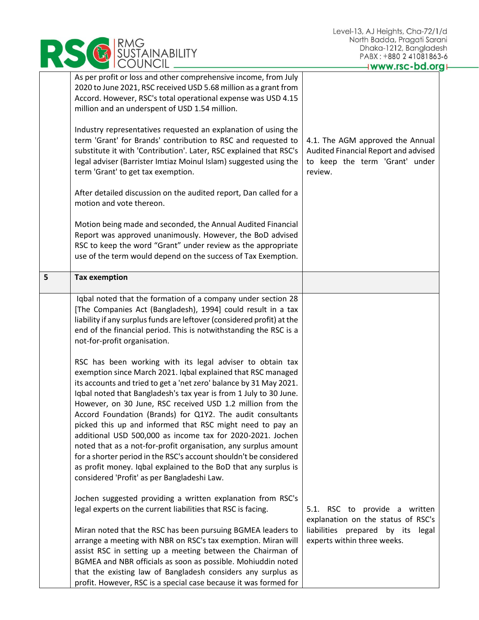|   | RMG<br>SUSTAINABILITY<br>COUNCIL                                                                                                                                                                                                                                                                                                                                                                                                                                                                                                                                                                                                                                                                                                                                                      | Level-13, AJ Heights, Cha-72/1/d<br>North Badda, Pragati Sarani<br>Dhaka-1212, Bangladesh<br>PABX: +880 2 41081863-6<br>Iwww.rsc-bd.org+ |
|---|---------------------------------------------------------------------------------------------------------------------------------------------------------------------------------------------------------------------------------------------------------------------------------------------------------------------------------------------------------------------------------------------------------------------------------------------------------------------------------------------------------------------------------------------------------------------------------------------------------------------------------------------------------------------------------------------------------------------------------------------------------------------------------------|------------------------------------------------------------------------------------------------------------------------------------------|
|   | As per profit or loss and other comprehensive income, from July<br>2020 to June 2021, RSC received USD 5.68 million as a grant from<br>Accord. However, RSC's total operational expense was USD 4.15<br>million and an underspent of USD 1.54 million.                                                                                                                                                                                                                                                                                                                                                                                                                                                                                                                                |                                                                                                                                          |
|   | Industry representatives requested an explanation of using the<br>term 'Grant' for Brands' contribution to RSC and requested to<br>substitute it with 'Contribution'. Later, RSC explained that RSC's<br>legal adviser (Barrister Imtiaz Moinul Islam) suggested using the<br>term 'Grant' to get tax exemption.                                                                                                                                                                                                                                                                                                                                                                                                                                                                      | 4.1. The AGM approved the Annual<br>Audited Financial Report and advised<br>to keep the term 'Grant' under<br>review.                    |
|   | After detailed discussion on the audited report, Dan called for a<br>motion and vote thereon.                                                                                                                                                                                                                                                                                                                                                                                                                                                                                                                                                                                                                                                                                         |                                                                                                                                          |
|   | Motion being made and seconded, the Annual Audited Financial<br>Report was approved unanimously. However, the BoD advised<br>RSC to keep the word "Grant" under review as the appropriate<br>use of the term would depend on the success of Tax Exemption.                                                                                                                                                                                                                                                                                                                                                                                                                                                                                                                            |                                                                                                                                          |
| 5 | <b>Tax exemption</b>                                                                                                                                                                                                                                                                                                                                                                                                                                                                                                                                                                                                                                                                                                                                                                  |                                                                                                                                          |
|   | Iqbal noted that the formation of a company under section 28<br>[The Companies Act (Bangladesh), 1994] could result in a tax<br>liability if any surplus funds are leftover (considered profit) at the<br>end of the financial period. This is notwithstanding the RSC is a<br>not-for-profit organisation.                                                                                                                                                                                                                                                                                                                                                                                                                                                                           |                                                                                                                                          |
|   | RSC has been working with its legal adviser to obtain tax<br>exemption since March 2021. Igbal explained that RSC managed<br>its accounts and tried to get a 'net zero' balance by 31 May 2021.<br>Iqbal noted that Bangladesh's tax year is from 1 July to 30 June.<br>However, on 30 June, RSC received USD 1.2 million from the<br>Accord Foundation (Brands) for Q1Y2. The audit consultants<br>picked this up and informed that RSC might need to pay an<br>additional USD 500,000 as income tax for 2020-2021. Jochen<br>noted that as a not-for-profit organisation, any surplus amount<br>for a shorter period in the RSC's account shouldn't be considered<br>as profit money. Iqbal explained to the BoD that any surplus is<br>considered 'Profit' as per Bangladeshi Law. |                                                                                                                                          |
|   | Jochen suggested providing a written explanation from RSC's<br>legal experts on the current liabilities that RSC is facing.<br>Miran noted that the RSC has been pursuing BGMEA leaders to<br>arrange a meeting with NBR on RSC's tax exemption. Miran will                                                                                                                                                                                                                                                                                                                                                                                                                                                                                                                           | 5.1. RSC to provide a written<br>explanation on the status of RSC's<br>liabilities prepared by its legal<br>experts within three weeks.  |
|   | assist RSC in setting up a meeting between the Chairman of<br>BGMEA and NBR officials as soon as possible. Mohiuddin noted<br>that the existing law of Bangladesh considers any surplus as<br>profit. However, RSC is a special case because it was formed for                                                                                                                                                                                                                                                                                                                                                                                                                                                                                                                        |                                                                                                                                          |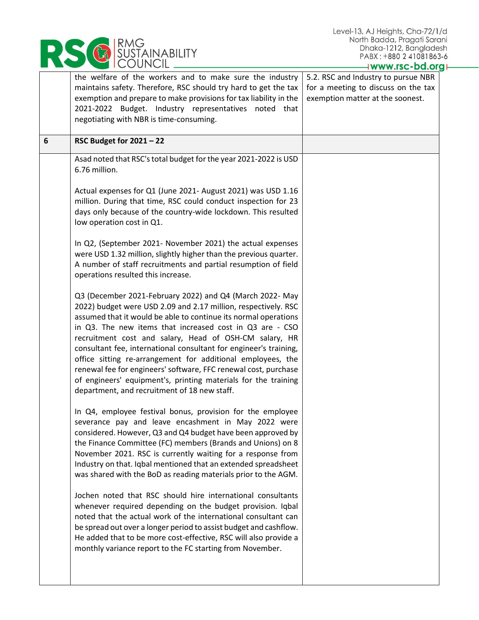| SÜSTAINABILITY |
|----------------|
|----------------|

|   | the welfare of the workers and to make sure the industry<br>maintains safety. Therefore, RSC should try hard to get the tax<br>exemption and prepare to make provisions for tax liability in the<br>2021-2022 Budget. Industry representatives noted that<br>negotiating with NBR is time-consuming.                                                                                                                                                                                                                                                                                                                                         | 5.2. RSC and Industry to pursue NBR<br>for a meeting to discuss on the tax<br>exemption matter at the soonest. |
|---|----------------------------------------------------------------------------------------------------------------------------------------------------------------------------------------------------------------------------------------------------------------------------------------------------------------------------------------------------------------------------------------------------------------------------------------------------------------------------------------------------------------------------------------------------------------------------------------------------------------------------------------------|----------------------------------------------------------------------------------------------------------------|
| 6 | RSC Budget for $2021 - 22$                                                                                                                                                                                                                                                                                                                                                                                                                                                                                                                                                                                                                   |                                                                                                                |
|   | Asad noted that RSC's total budget for the year 2021-2022 is USD<br>6.76 million.                                                                                                                                                                                                                                                                                                                                                                                                                                                                                                                                                            |                                                                                                                |
|   | Actual expenses for Q1 (June 2021- August 2021) was USD 1.16<br>million. During that time, RSC could conduct inspection for 23<br>days only because of the country-wide lockdown. This resulted<br>low operation cost in Q1.                                                                                                                                                                                                                                                                                                                                                                                                                 |                                                                                                                |
|   | In Q2, (September 2021- November 2021) the actual expenses<br>were USD 1.32 million, slightly higher than the previous quarter.<br>A number of staff recruitments and partial resumption of field<br>operations resulted this increase.                                                                                                                                                                                                                                                                                                                                                                                                      |                                                                                                                |
|   | Q3 (December 2021-February 2022) and Q4 (March 2022- May<br>2022) budget were USD 2.09 and 2.17 million, respectively. RSC<br>assumed that it would be able to continue its normal operations<br>in Q3. The new items that increased cost in Q3 are - CSO<br>recruitment cost and salary, Head of OSH-CM salary, HR<br>consultant fee, international consultant for engineer's training,<br>office sitting re-arrangement for additional employees, the<br>renewal fee for engineers' software, FFC renewal cost, purchase<br>of engineers' equipment's, printing materials for the training<br>department, and recruitment of 18 new staff. |                                                                                                                |
|   | In Q4, employee festival bonus, provision for the employee<br>severance pay and leave encashment in May 2022 were<br>considered. However, Q3 and Q4 budget have been approved by<br>the Finance Committee (FC) members (Brands and Unions) on 8<br>November 2021. RSC is currently waiting for a response from<br>Industry on that. Iqbal mentioned that an extended spreadsheet<br>was shared with the BoD as reading materials prior to the AGM.                                                                                                                                                                                           |                                                                                                                |
|   | Jochen noted that RSC should hire international consultants<br>whenever required depending on the budget provision. Iqbal<br>noted that the actual work of the international consultant can<br>be spread out over a longer period to assist budget and cashflow.<br>He added that to be more cost-effective, RSC will also provide a<br>monthly variance report to the FC starting from November.                                                                                                                                                                                                                                            |                                                                                                                |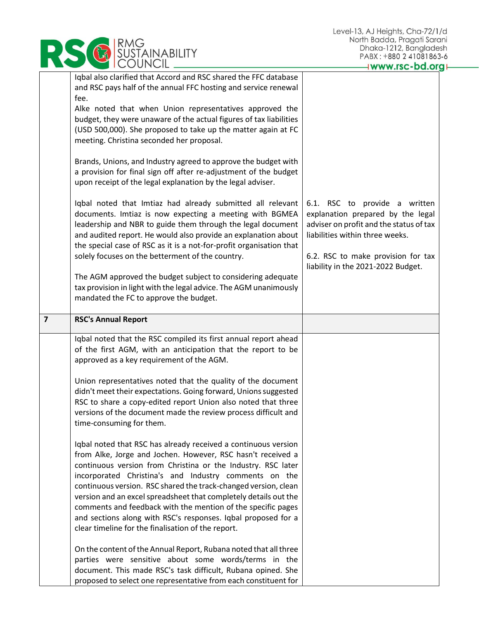|                | RMG<br><b>SUSTAINABILITY</b>                                                                                                                                                                                                                                                                                                                                                                                                                                                                                                                                                           | North Badda, Pragati Sarc<br>Dhaka-1212, Banglade<br>PABX: +880 2 41081863                                                                                                                                                   |
|----------------|----------------------------------------------------------------------------------------------------------------------------------------------------------------------------------------------------------------------------------------------------------------------------------------------------------------------------------------------------------------------------------------------------------------------------------------------------------------------------------------------------------------------------------------------------------------------------------------|------------------------------------------------------------------------------------------------------------------------------------------------------------------------------------------------------------------------------|
|                |                                                                                                                                                                                                                                                                                                                                                                                                                                                                                                                                                                                        | www.rsc-bd.or                                                                                                                                                                                                                |
|                | Iqbal also clarified that Accord and RSC shared the FFC database<br>and RSC pays half of the annual FFC hosting and service renewal<br>fee.<br>Alke noted that when Union representatives approved the<br>budget, they were unaware of the actual figures of tax liabilities<br>(USD 500,000). She proposed to take up the matter again at FC<br>meeting. Christina seconded her proposal.                                                                                                                                                                                             |                                                                                                                                                                                                                              |
|                | Brands, Unions, and Industry agreed to approve the budget with<br>a provision for final sign off after re-adjustment of the budget<br>upon receipt of the legal explanation by the legal adviser.                                                                                                                                                                                                                                                                                                                                                                                      |                                                                                                                                                                                                                              |
|                | Iqbal noted that Imtiaz had already submitted all relevant<br>documents. Imtiaz is now expecting a meeting with BGMEA<br>leadership and NBR to guide them through the legal document<br>and audited report. He would also provide an explanation about<br>the special case of RSC as it is a not-for-profit organisation that<br>solely focuses on the betterment of the country.                                                                                                                                                                                                      | 6.1. RSC to provide a written<br>explanation prepared by the legal<br>adviser on profit and the status of tax<br>liabilities within three weeks.<br>6.2. RSC to make provision for tax<br>liability in the 2021-2022 Budget. |
|                | The AGM approved the budget subject to considering adequate<br>tax provision in light with the legal advice. The AGM unanimously<br>mandated the FC to approve the budget.                                                                                                                                                                                                                                                                                                                                                                                                             |                                                                                                                                                                                                                              |
| $\overline{7}$ | <b>RSC's Annual Report</b>                                                                                                                                                                                                                                                                                                                                                                                                                                                                                                                                                             |                                                                                                                                                                                                                              |
|                | Iqbal noted that the RSC compiled its first annual report ahead<br>of the first AGM, with an anticipation that the report to be<br>approved as a key requirement of the AGM.<br>Union representatives noted that the quality of the document<br>didn't meet their expectations. Going forward, Unions suggested<br>RSC to share a copy-edited report Union also noted that three<br>versions of the document made the review process difficult and<br>time-consuming for them.<br>Iqbal noted that RSC has already received a continuous version                                       |                                                                                                                                                                                                                              |
|                | from Alke, Jorge and Jochen. However, RSC hasn't received a<br>continuous version from Christina or the Industry. RSC later<br>incorporated Christina's and Industry comments on the<br>continuous version. RSC shared the track-changed version, clean<br>version and an excel spreadsheet that completely details out the<br>comments and feedback with the mention of the specific pages<br>and sections along with RSC's responses. Iqbal proposed for a<br>clear timeline for the finalisation of the report.<br>On the content of the Annual Report, Rubana noted that all three |                                                                                                                                                                                                                              |
|                | parties were sensitive about some words/terms in the<br>document. This made RSC's task difficult, Rubana opined. She<br>proposed to select one representative from each constituent for                                                                                                                                                                                                                                                                                                                                                                                                |                                                                                                                                                                                                                              |